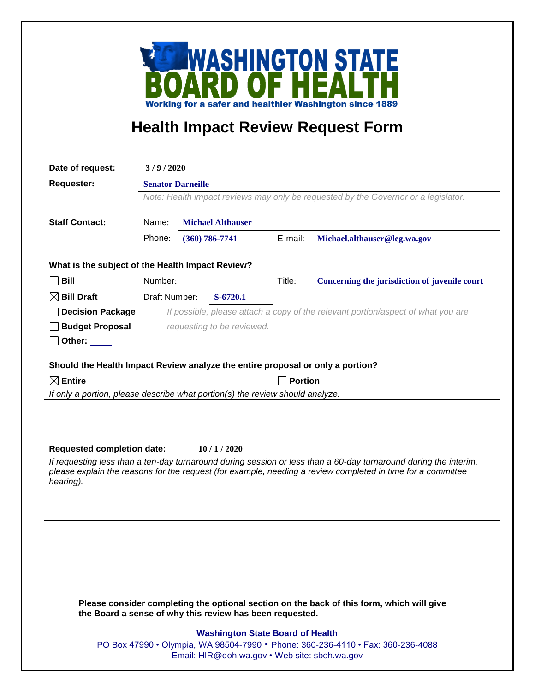

## **Health Impact Review Request Form**

| Date of request:                                                                                                                                                                                                                                                                              | 3/9/2020                                                                           |                                                                                  |          |                                               |                              |  |  |
|-----------------------------------------------------------------------------------------------------------------------------------------------------------------------------------------------------------------------------------------------------------------------------------------------|------------------------------------------------------------------------------------|----------------------------------------------------------------------------------|----------|-----------------------------------------------|------------------------------|--|--|
| <b>Requester:</b>                                                                                                                                                                                                                                                                             | <b>Senator Darneille</b>                                                           |                                                                                  |          |                                               |                              |  |  |
|                                                                                                                                                                                                                                                                                               | Note: Health impact reviews may only be requested by the Governor or a legislator. |                                                                                  |          |                                               |                              |  |  |
|                                                                                                                                                                                                                                                                                               |                                                                                    |                                                                                  |          |                                               |                              |  |  |
| <b>Staff Contact:</b>                                                                                                                                                                                                                                                                         | Name:<br><b>Michael Althauser</b>                                                  |                                                                                  |          |                                               |                              |  |  |
|                                                                                                                                                                                                                                                                                               | Phone:                                                                             | $(360) 786 - 7741$                                                               |          | E-mail:                                       | Michael.althauser@leg.wa.gov |  |  |
| What is the subject of the Health Impact Review?                                                                                                                                                                                                                                              |                                                                                    |                                                                                  |          |                                               |                              |  |  |
| <b>Bill</b>                                                                                                                                                                                                                                                                                   | Number:                                                                            |                                                                                  | Title:   | Concerning the jurisdiction of juvenile court |                              |  |  |
| $\boxtimes$ Bill Draft                                                                                                                                                                                                                                                                        | Draft Number:                                                                      |                                                                                  | S-6720.1 |                                               |                              |  |  |
| <b>Decision Package</b>                                                                                                                                                                                                                                                                       |                                                                                    | If possible, please attach a copy of the relevant portion/aspect of what you are |          |                                               |                              |  |  |
| <b>Budget Proposal</b>                                                                                                                                                                                                                                                                        |                                                                                    | requesting to be reviewed.                                                       |          |                                               |                              |  |  |
| Other: $\_\_$                                                                                                                                                                                                                                                                                 |                                                                                    |                                                                                  |          |                                               |                              |  |  |
| Should the Health Impact Review analyze the entire proposal or only a portion?                                                                                                                                                                                                                |                                                                                    |                                                                                  |          |                                               |                              |  |  |
| $\boxtimes$ Entire                                                                                                                                                                                                                                                                            |                                                                                    |                                                                                  |          |                                               | <b>Portion</b>               |  |  |
| If only a portion, please describe what portion(s) the review should analyze.                                                                                                                                                                                                                 |                                                                                    |                                                                                  |          |                                               |                              |  |  |
|                                                                                                                                                                                                                                                                                               |                                                                                    |                                                                                  |          |                                               |                              |  |  |
| <b>Requested completion date:</b><br>10/1/2020<br>If requesting less than a ten-day turnaround during session or less than a 60-day turnaround during the interim,<br>please explain the reasons for the request (for example, needing a review completed in time for a committee<br>hearing) |                                                                                    |                                                                                  |          |                                               |                              |  |  |
|                                                                                                                                                                                                                                                                                               |                                                                                    |                                                                                  |          |                                               |                              |  |  |
|                                                                                                                                                                                                                                                                                               |                                                                                    |                                                                                  |          |                                               |                              |  |  |
|                                                                                                                                                                                                                                                                                               |                                                                                    |                                                                                  |          |                                               |                              |  |  |
|                                                                                                                                                                                                                                                                                               |                                                                                    |                                                                                  |          |                                               |                              |  |  |
|                                                                                                                                                                                                                                                                                               |                                                                                    |                                                                                  |          |                                               |                              |  |  |
| Please consider completing the optional section on the back of this form, which will give<br>the Board a sense of why this review has been requested.                                                                                                                                         |                                                                                    |                                                                                  |          |                                               |                              |  |  |
| <b>Washington State Board of Health</b><br>PO Box 47990 • Olympia, WA 98504-7990 • Phone: 360-236-4110 • Fax: 360-236-4088<br>Email: HIR@doh.wa.gov • Web site: sboh.wa.gov                                                                                                                   |                                                                                    |                                                                                  |          |                                               |                              |  |  |